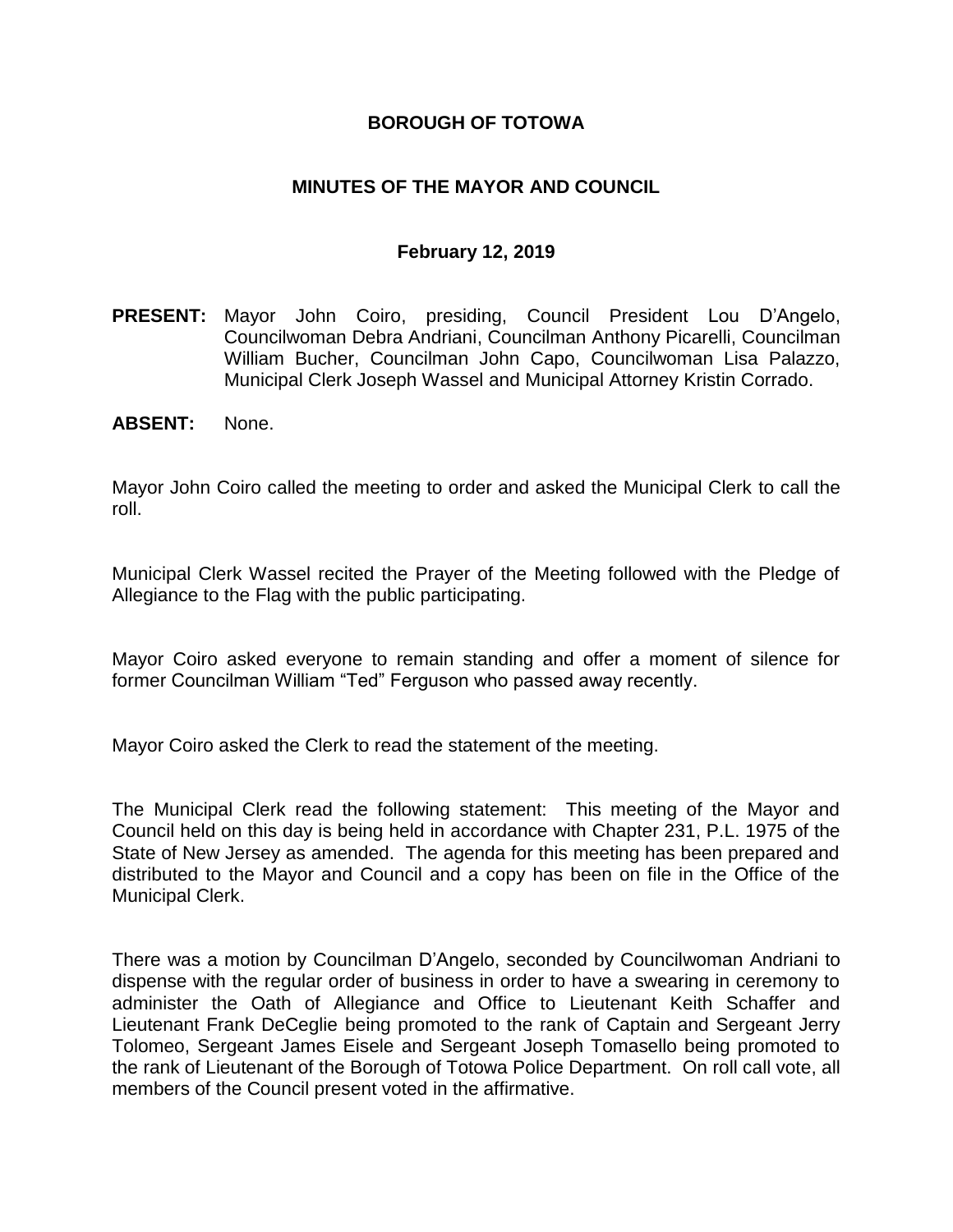## **BOROUGH OF TOTOWA**

## **MINUTES OF THE MAYOR AND COUNCIL**

#### **February 12, 2019**

- **PRESENT:** Mayor John Coiro, presiding, Council President Lou D'Angelo, Councilwoman Debra Andriani, Councilman Anthony Picarelli, Councilman William Bucher, Councilman John Capo, Councilwoman Lisa Palazzo, Municipal Clerk Joseph Wassel and Municipal Attorney Kristin Corrado.
- **ABSENT:** None.

Mayor John Coiro called the meeting to order and asked the Municipal Clerk to call the roll.

Municipal Clerk Wassel recited the Prayer of the Meeting followed with the Pledge of Allegiance to the Flag with the public participating.

Mayor Coiro asked everyone to remain standing and offer a moment of silence for former Councilman William "Ted" Ferguson who passed away recently.

Mayor Coiro asked the Clerk to read the statement of the meeting.

The Municipal Clerk read the following statement: This meeting of the Mayor and Council held on this day is being held in accordance with Chapter 231, P.L. 1975 of the State of New Jersey as amended. The agenda for this meeting has been prepared and distributed to the Mayor and Council and a copy has been on file in the Office of the Municipal Clerk.

There was a motion by Councilman D'Angelo, seconded by Councilwoman Andriani to dispense with the regular order of business in order to have a swearing in ceremony to administer the Oath of Allegiance and Office to Lieutenant Keith Schaffer and Lieutenant Frank DeCeglie being promoted to the rank of Captain and Sergeant Jerry Tolomeo, Sergeant James Eisele and Sergeant Joseph Tomasello being promoted to the rank of Lieutenant of the Borough of Totowa Police Department. On roll call vote, all members of the Council present voted in the affirmative.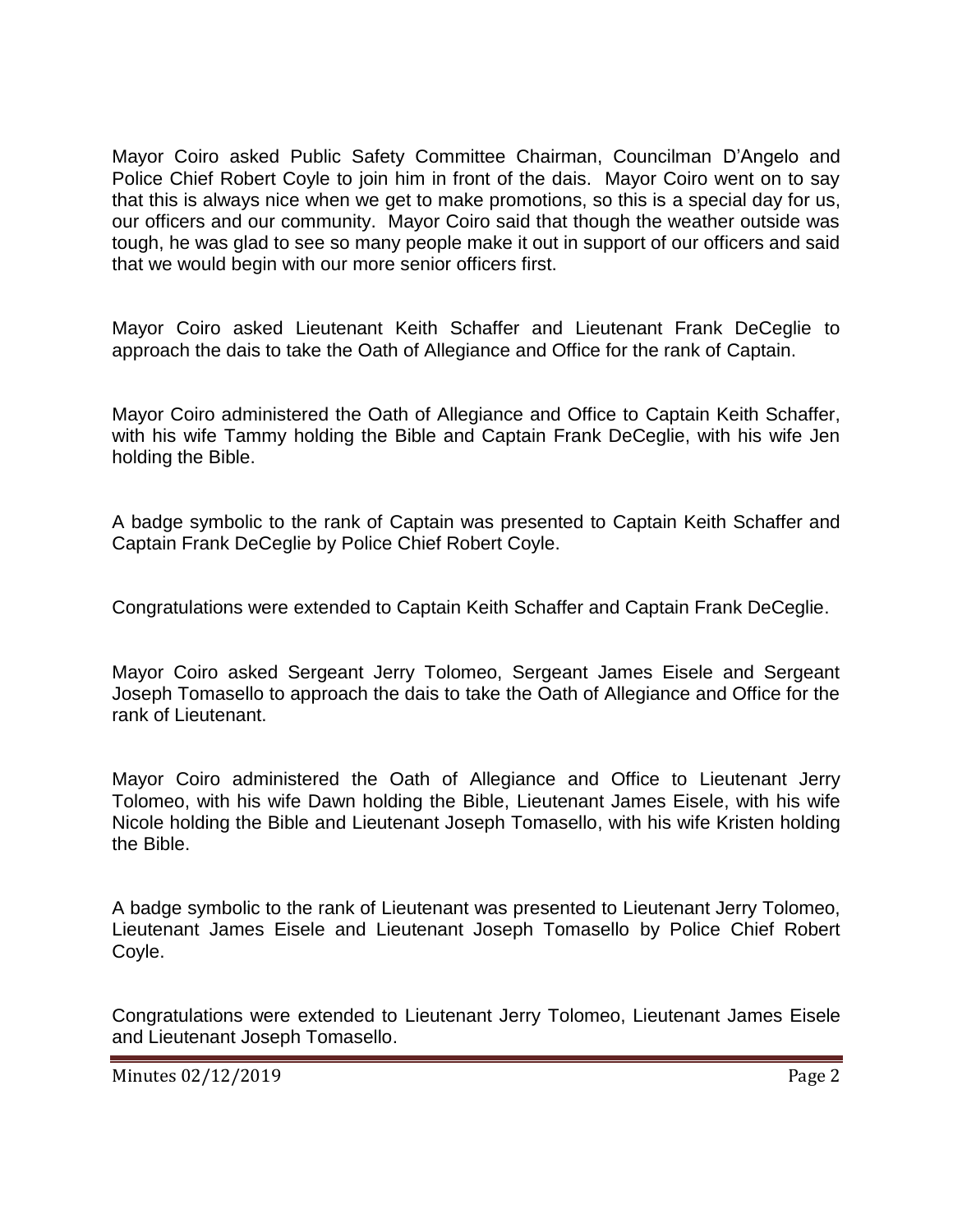Mayor Coiro asked Public Safety Committee Chairman, Councilman D'Angelo and Police Chief Robert Coyle to join him in front of the dais. Mayor Coiro went on to say that this is always nice when we get to make promotions, so this is a special day for us, our officers and our community. Mayor Coiro said that though the weather outside was tough, he was glad to see so many people make it out in support of our officers and said that we would begin with our more senior officers first.

Mayor Coiro asked Lieutenant Keith Schaffer and Lieutenant Frank DeCeglie to approach the dais to take the Oath of Allegiance and Office for the rank of Captain.

Mayor Coiro administered the Oath of Allegiance and Office to Captain Keith Schaffer, with his wife Tammy holding the Bible and Captain Frank DeCeglie, with his wife Jen holding the Bible.

A badge symbolic to the rank of Captain was presented to Captain Keith Schaffer and Captain Frank DeCeglie by Police Chief Robert Coyle.

Congratulations were extended to Captain Keith Schaffer and Captain Frank DeCeglie.

Mayor Coiro asked Sergeant Jerry Tolomeo, Sergeant James Eisele and Sergeant Joseph Tomasello to approach the dais to take the Oath of Allegiance and Office for the rank of Lieutenant.

Mayor Coiro administered the Oath of Allegiance and Office to Lieutenant Jerry Tolomeo, with his wife Dawn holding the Bible, Lieutenant James Eisele, with his wife Nicole holding the Bible and Lieutenant Joseph Tomasello, with his wife Kristen holding the Bible.

A badge symbolic to the rank of Lieutenant was presented to Lieutenant Jerry Tolomeo, Lieutenant James Eisele and Lieutenant Joseph Tomasello by Police Chief Robert Coyle.

Congratulations were extended to Lieutenant Jerry Tolomeo, Lieutenant James Eisele and Lieutenant Joseph Tomasello.

Minutes 02/12/2019 Page 2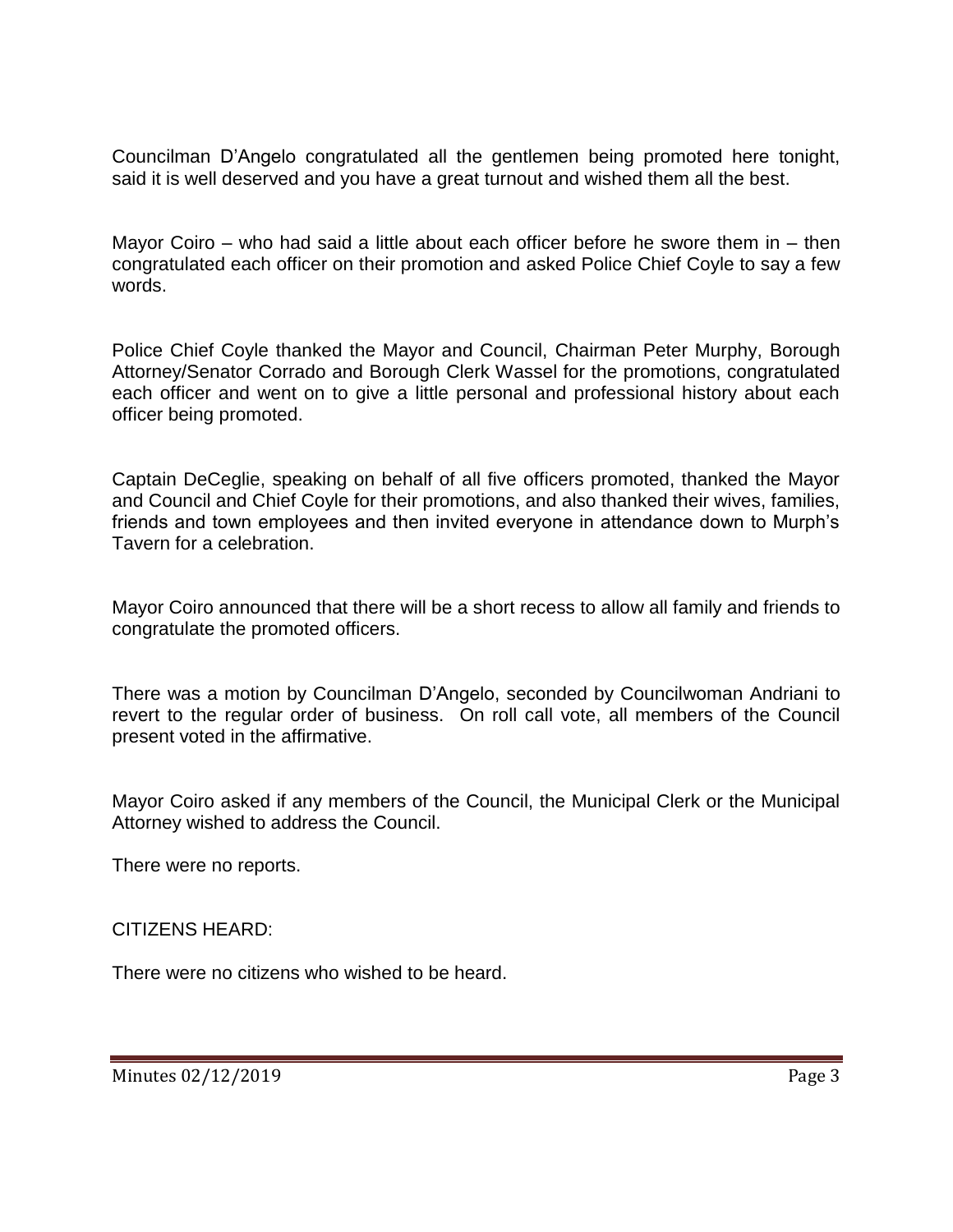Councilman D'Angelo congratulated all the gentlemen being promoted here tonight, said it is well deserved and you have a great turnout and wished them all the best.

Mayor Coiro – who had said a little about each officer before he swore them in – then congratulated each officer on their promotion and asked Police Chief Coyle to say a few words.

Police Chief Coyle thanked the Mayor and Council, Chairman Peter Murphy, Borough Attorney/Senator Corrado and Borough Clerk Wassel for the promotions, congratulated each officer and went on to give a little personal and professional history about each officer being promoted.

Captain DeCeglie, speaking on behalf of all five officers promoted, thanked the Mayor and Council and Chief Coyle for their promotions, and also thanked their wives, families, friends and town employees and then invited everyone in attendance down to Murph's Tavern for a celebration.

Mayor Coiro announced that there will be a short recess to allow all family and friends to congratulate the promoted officers.

There was a motion by Councilman D'Angelo, seconded by Councilwoman Andriani to revert to the regular order of business. On roll call vote, all members of the Council present voted in the affirmative.

Mayor Coiro asked if any members of the Council, the Municipal Clerk or the Municipal Attorney wished to address the Council.

There were no reports.

CITIZENS HEARD:

There were no citizens who wished to be heard.

Minutes 02/12/2019 Page 3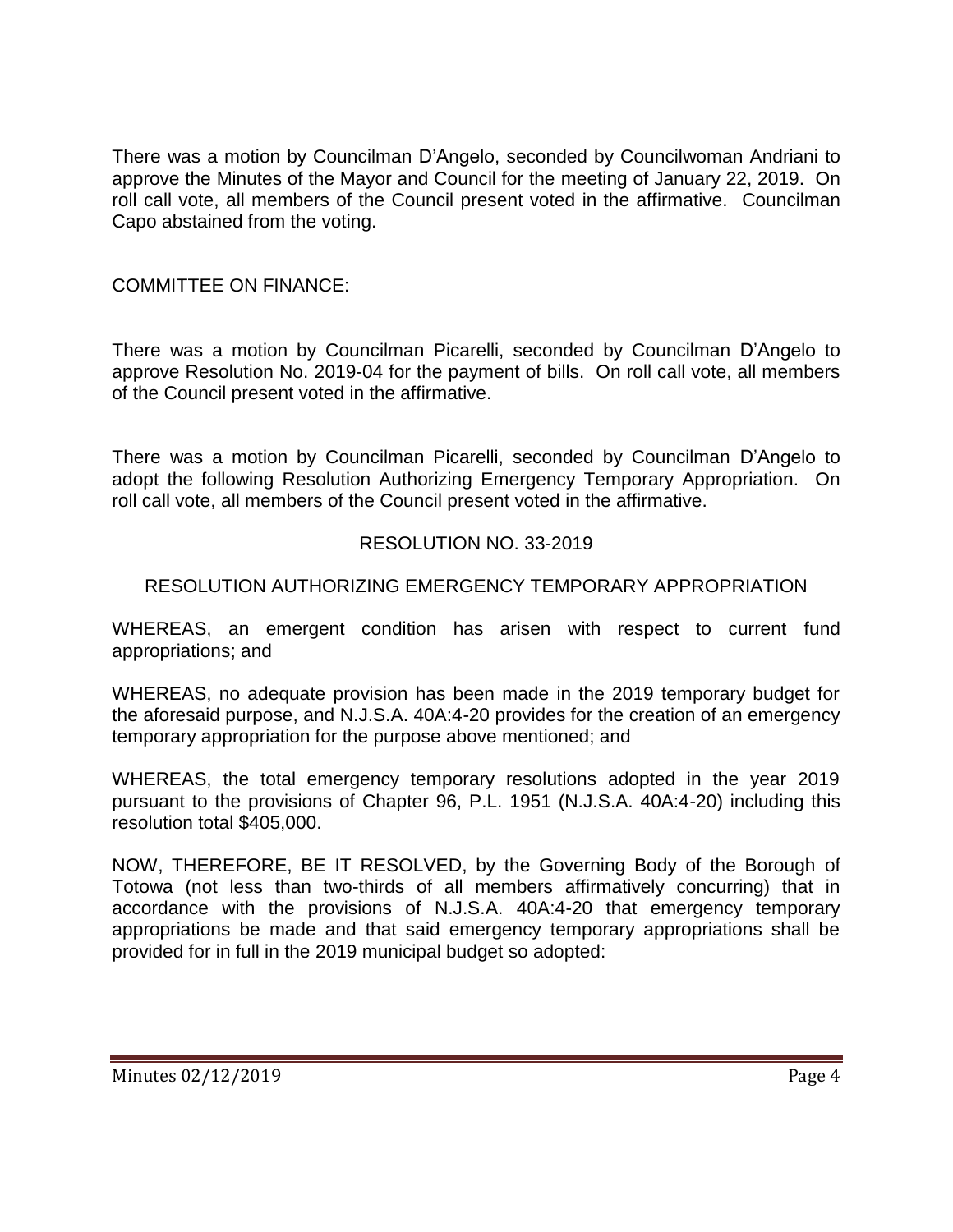There was a motion by Councilman D'Angelo, seconded by Councilwoman Andriani to approve the Minutes of the Mayor and Council for the meeting of January 22, 2019. On roll call vote, all members of the Council present voted in the affirmative. Councilman Capo abstained from the voting.

## COMMITTEE ON FINANCE:

There was a motion by Councilman Picarelli, seconded by Councilman D'Angelo to approve Resolution No. 2019-04 for the payment of bills. On roll call vote, all members of the Council present voted in the affirmative.

There was a motion by Councilman Picarelli, seconded by Councilman D'Angelo to adopt the following Resolution Authorizing Emergency Temporary Appropriation. On roll call vote, all members of the Council present voted in the affirmative.

## RESOLUTION NO. 33-2019

## RESOLUTION AUTHORIZING EMERGENCY TEMPORARY APPROPRIATION

WHEREAS, an emergent condition has arisen with respect to current fund appropriations; and

WHEREAS, no adequate provision has been made in the 2019 temporary budget for the aforesaid purpose, and N.J.S.A. 40A:4-20 provides for the creation of an emergency temporary appropriation for the purpose above mentioned; and

WHEREAS, the total emergency temporary resolutions adopted in the year 2019 pursuant to the provisions of Chapter 96, P.L. 1951 (N.J.S.A. 40A:4-20) including this resolution total \$405,000.

NOW, THEREFORE, BE IT RESOLVED, by the Governing Body of the Borough of Totowa (not less than two-thirds of all members affirmatively concurring) that in accordance with the provisions of N.J.S.A. 40A:4-20 that emergency temporary appropriations be made and that said emergency temporary appropriations shall be provided for in full in the 2019 municipal budget so adopted: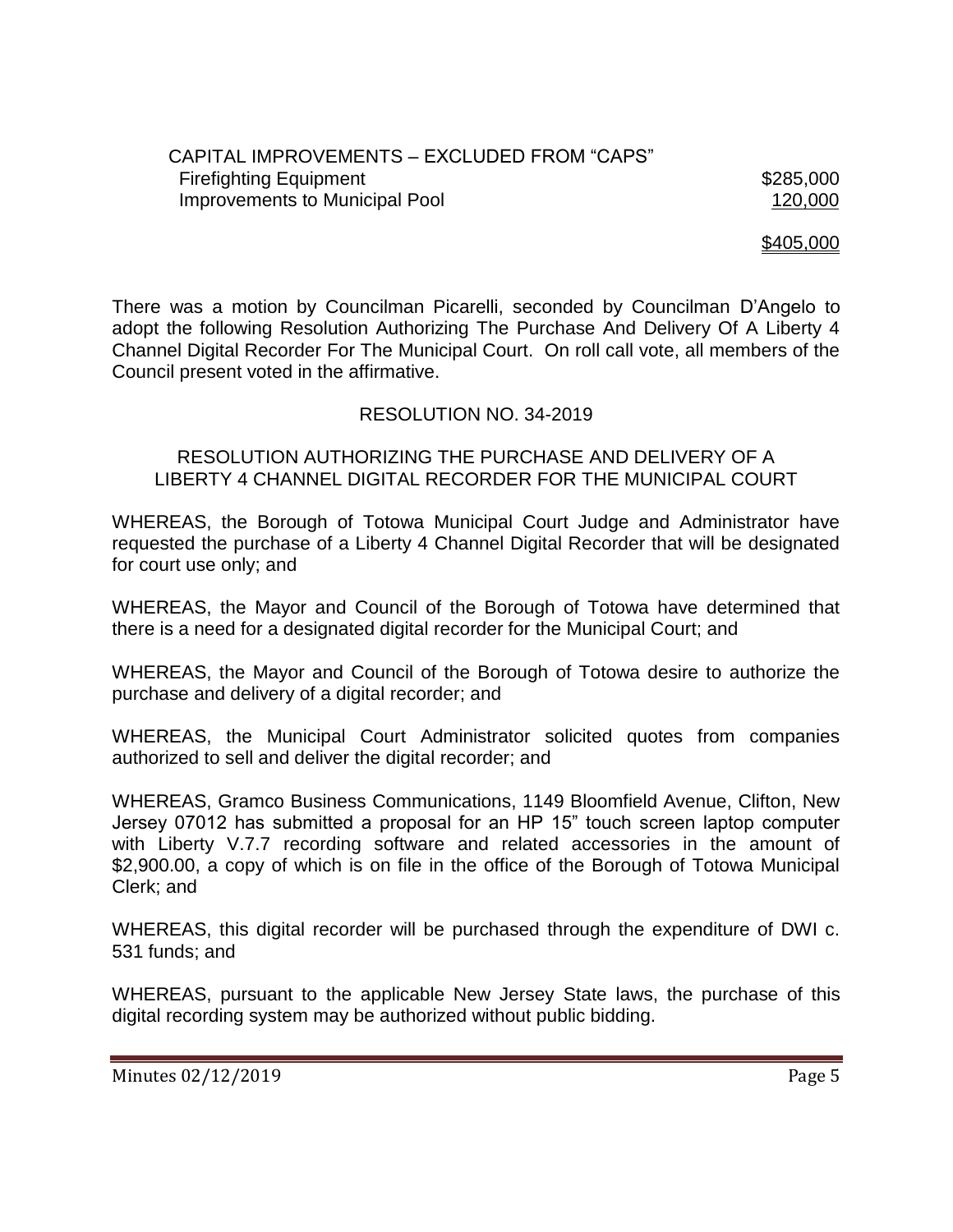#### CAPITAL IMPROVEMENTS – EXCLUDED FROM "CAPS" Firefighting Equipment \$285,000 Improvements to Municipal Pool 120,000

\$405,000

There was a motion by Councilman Picarelli, seconded by Councilman D'Angelo to adopt the following Resolution Authorizing The Purchase And Delivery Of A Liberty 4 Channel Digital Recorder For The Municipal Court. On roll call vote, all members of the Council present voted in the affirmative.

#### RESOLUTION NO. 34-2019

#### RESOLUTION AUTHORIZING THE PURCHASE AND DELIVERY OF A LIBERTY 4 CHANNEL DIGITAL RECORDER FOR THE MUNICIPAL COURT

WHEREAS, the Borough of Totowa Municipal Court Judge and Administrator have requested the purchase of a Liberty 4 Channel Digital Recorder that will be designated for court use only; and

WHEREAS, the Mayor and Council of the Borough of Totowa have determined that there is a need for a designated digital recorder for the Municipal Court; and

WHEREAS, the Mayor and Council of the Borough of Totowa desire to authorize the purchase and delivery of a digital recorder; and

WHEREAS, the Municipal Court Administrator solicited quotes from companies authorized to sell and deliver the digital recorder; and

WHEREAS, Gramco Business Communications, 1149 Bloomfield Avenue, Clifton, New Jersey 07012 has submitted a proposal for an HP 15" touch screen laptop computer with Liberty V.7.7 recording software and related accessories in the amount of \$2,900.00, a copy of which is on file in the office of the Borough of Totowa Municipal Clerk; and

WHEREAS, this digital recorder will be purchased through the expenditure of DWI c. 531 funds; and

WHEREAS, pursuant to the applicable New Jersey State laws, the purchase of this digital recording system may be authorized without public bidding.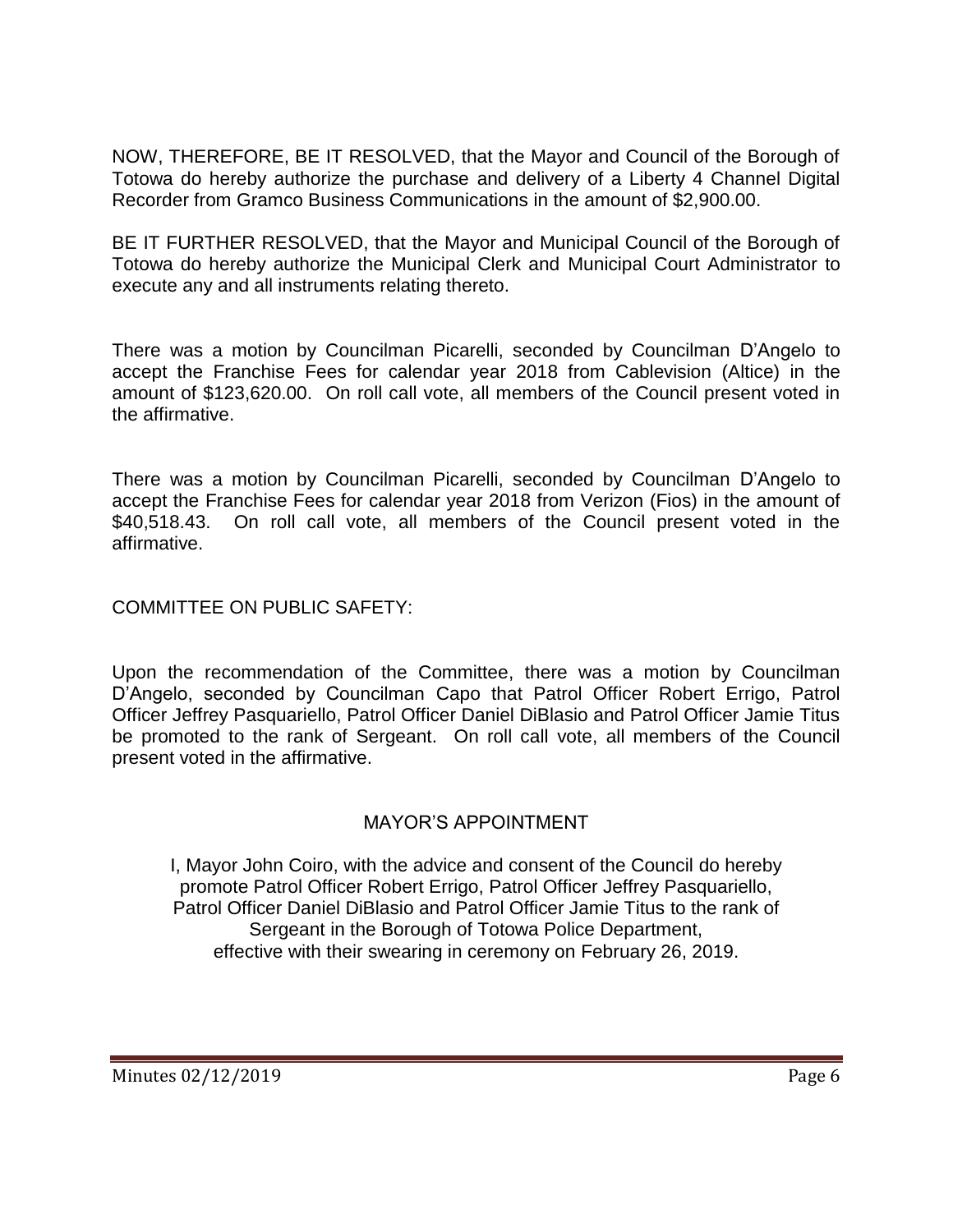NOW, THEREFORE, BE IT RESOLVED, that the Mayor and Council of the Borough of Totowa do hereby authorize the purchase and delivery of a Liberty 4 Channel Digital Recorder from Gramco Business Communications in the amount of \$2,900.00.

BE IT FURTHER RESOLVED, that the Mayor and Municipal Council of the Borough of Totowa do hereby authorize the Municipal Clerk and Municipal Court Administrator to execute any and all instruments relating thereto.

There was a motion by Councilman Picarelli, seconded by Councilman D'Angelo to accept the Franchise Fees for calendar year 2018 from Cablevision (Altice) in the amount of \$123,620.00. On roll call vote, all members of the Council present voted in the affirmative.

There was a motion by Councilman Picarelli, seconded by Councilman D'Angelo to accept the Franchise Fees for calendar year 2018 from Verizon (Fios) in the amount of \$40,518.43. On roll call vote, all members of the Council present voted in the affirmative.

COMMITTEE ON PUBLIC SAFETY:

Upon the recommendation of the Committee, there was a motion by Councilman D'Angelo, seconded by Councilman Capo that Patrol Officer Robert Errigo, Patrol Officer Jeffrey Pasquariello, Patrol Officer Daniel DiBlasio and Patrol Officer Jamie Titus be promoted to the rank of Sergeant. On roll call vote, all members of the Council present voted in the affirmative.

# MAYOR'S APPOINTMENT

I, Mayor John Coiro, with the advice and consent of the Council do hereby promote Patrol Officer Robert Errigo, Patrol Officer Jeffrey Pasquariello, Patrol Officer Daniel DiBlasio and Patrol Officer Jamie Titus to the rank of Sergeant in the Borough of Totowa Police Department, effective with their swearing in ceremony on February 26, 2019.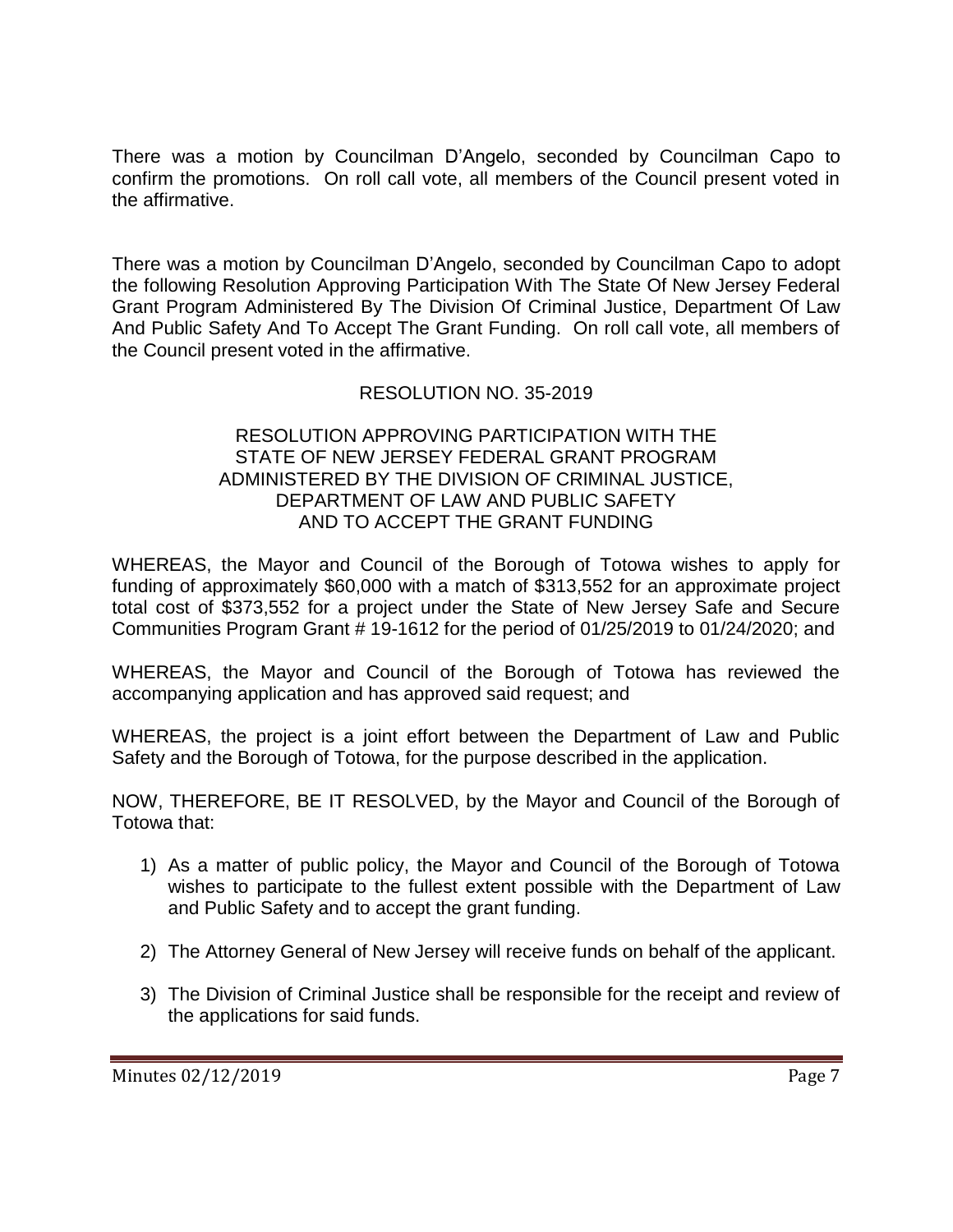There was a motion by Councilman D'Angelo, seconded by Councilman Capo to confirm the promotions. On roll call vote, all members of the Council present voted in the affirmative.

There was a motion by Councilman D'Angelo, seconded by Councilman Capo to adopt the following Resolution Approving Participation With The State Of New Jersey Federal Grant Program Administered By The Division Of Criminal Justice, Department Of Law And Public Safety And To Accept The Grant Funding. On roll call vote, all members of the Council present voted in the affirmative.

# RESOLUTION NO. 35-2019

### RESOLUTION APPROVING PARTICIPATION WITH THE STATE OF NEW JERSEY FEDERAL GRANT PROGRAM ADMINISTERED BY THE DIVISION OF CRIMINAL JUSTICE, DEPARTMENT OF LAW AND PUBLIC SAFETY AND TO ACCEPT THE GRANT FUNDING

WHEREAS, the Mayor and Council of the Borough of Totowa wishes to apply for funding of approximately \$60,000 with a match of \$313,552 for an approximate project total cost of \$373,552 for a project under the State of New Jersey Safe and Secure Communities Program Grant # 19-1612 for the period of 01/25/2019 to 01/24/2020; and

WHEREAS, the Mayor and Council of the Borough of Totowa has reviewed the accompanying application and has approved said request; and

WHEREAS, the project is a joint effort between the Department of Law and Public Safety and the Borough of Totowa, for the purpose described in the application.

NOW, THEREFORE, BE IT RESOLVED, by the Mayor and Council of the Borough of Totowa that:

- 1) As a matter of public policy, the Mayor and Council of the Borough of Totowa wishes to participate to the fullest extent possible with the Department of Law and Public Safety and to accept the grant funding.
- 2) The Attorney General of New Jersey will receive funds on behalf of the applicant.
- 3) The Division of Criminal Justice shall be responsible for the receipt and review of the applications for said funds.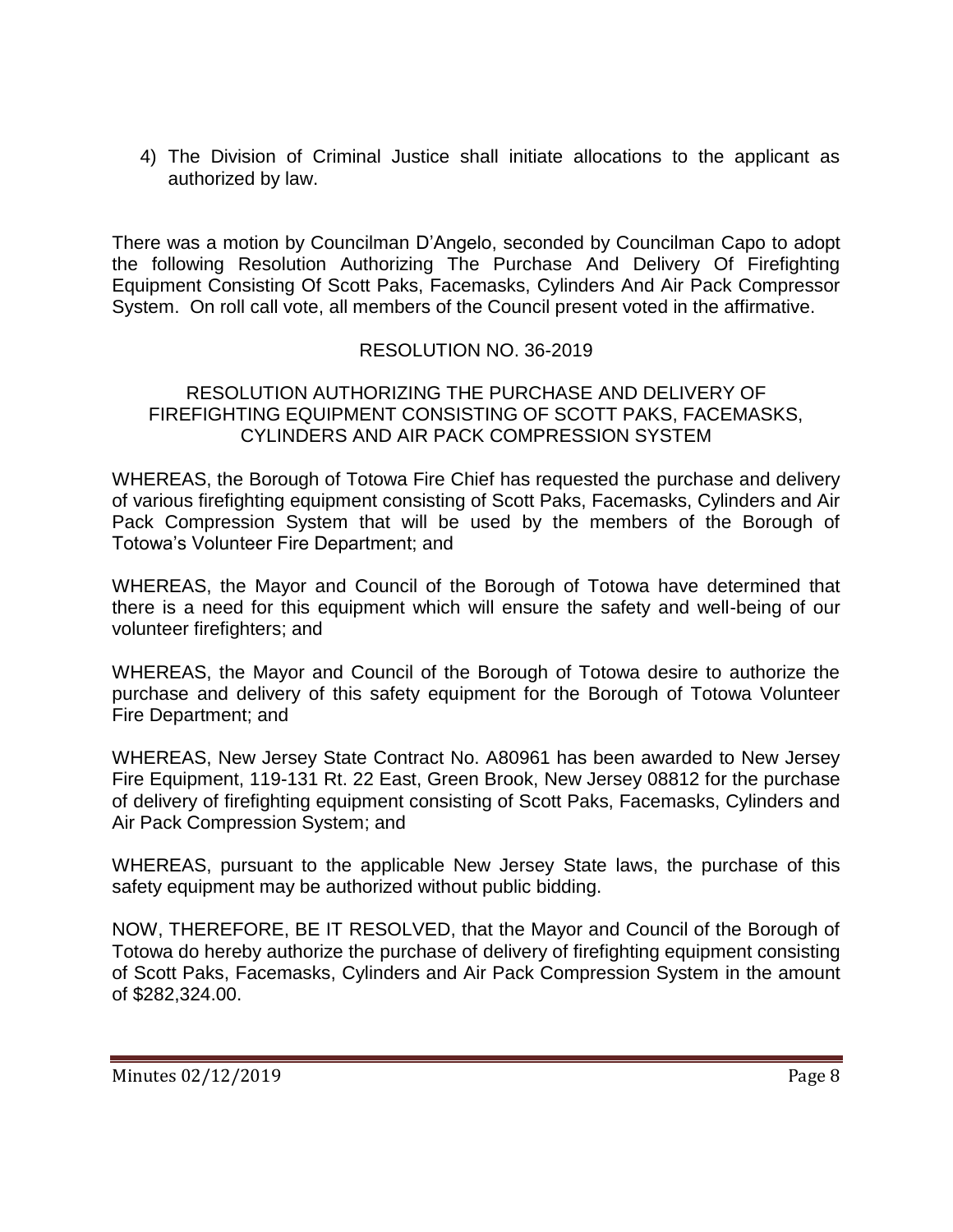4) The Division of Criminal Justice shall initiate allocations to the applicant as authorized by law.

There was a motion by Councilman D'Angelo, seconded by Councilman Capo to adopt the following Resolution Authorizing The Purchase And Delivery Of Firefighting Equipment Consisting Of Scott Paks, Facemasks, Cylinders And Air Pack Compressor System. On roll call vote, all members of the Council present voted in the affirmative.

## RESOLUTION NO. 36-2019

#### RESOLUTION AUTHORIZING THE PURCHASE AND DELIVERY OF FIREFIGHTING EQUIPMENT CONSISTING OF SCOTT PAKS, FACEMASKS, CYLINDERS AND AIR PACK COMPRESSION SYSTEM

WHEREAS, the Borough of Totowa Fire Chief has requested the purchase and delivery of various firefighting equipment consisting of Scott Paks, Facemasks, Cylinders and Air Pack Compression System that will be used by the members of the Borough of Totowa's Volunteer Fire Department; and

WHEREAS, the Mayor and Council of the Borough of Totowa have determined that there is a need for this equipment which will ensure the safety and well-being of our volunteer firefighters; and

WHEREAS, the Mayor and Council of the Borough of Totowa desire to authorize the purchase and delivery of this safety equipment for the Borough of Totowa Volunteer Fire Department; and

WHEREAS, New Jersey State Contract No. A80961 has been awarded to New Jersey Fire Equipment, 119-131 Rt. 22 East, Green Brook, New Jersey 08812 for the purchase of delivery of firefighting equipment consisting of Scott Paks, Facemasks, Cylinders and Air Pack Compression System; and

WHEREAS, pursuant to the applicable New Jersey State laws, the purchase of this safety equipment may be authorized without public bidding.

NOW, THEREFORE, BE IT RESOLVED, that the Mayor and Council of the Borough of Totowa do hereby authorize the purchase of delivery of firefighting equipment consisting of Scott Paks, Facemasks, Cylinders and Air Pack Compression System in the amount of \$282,324.00.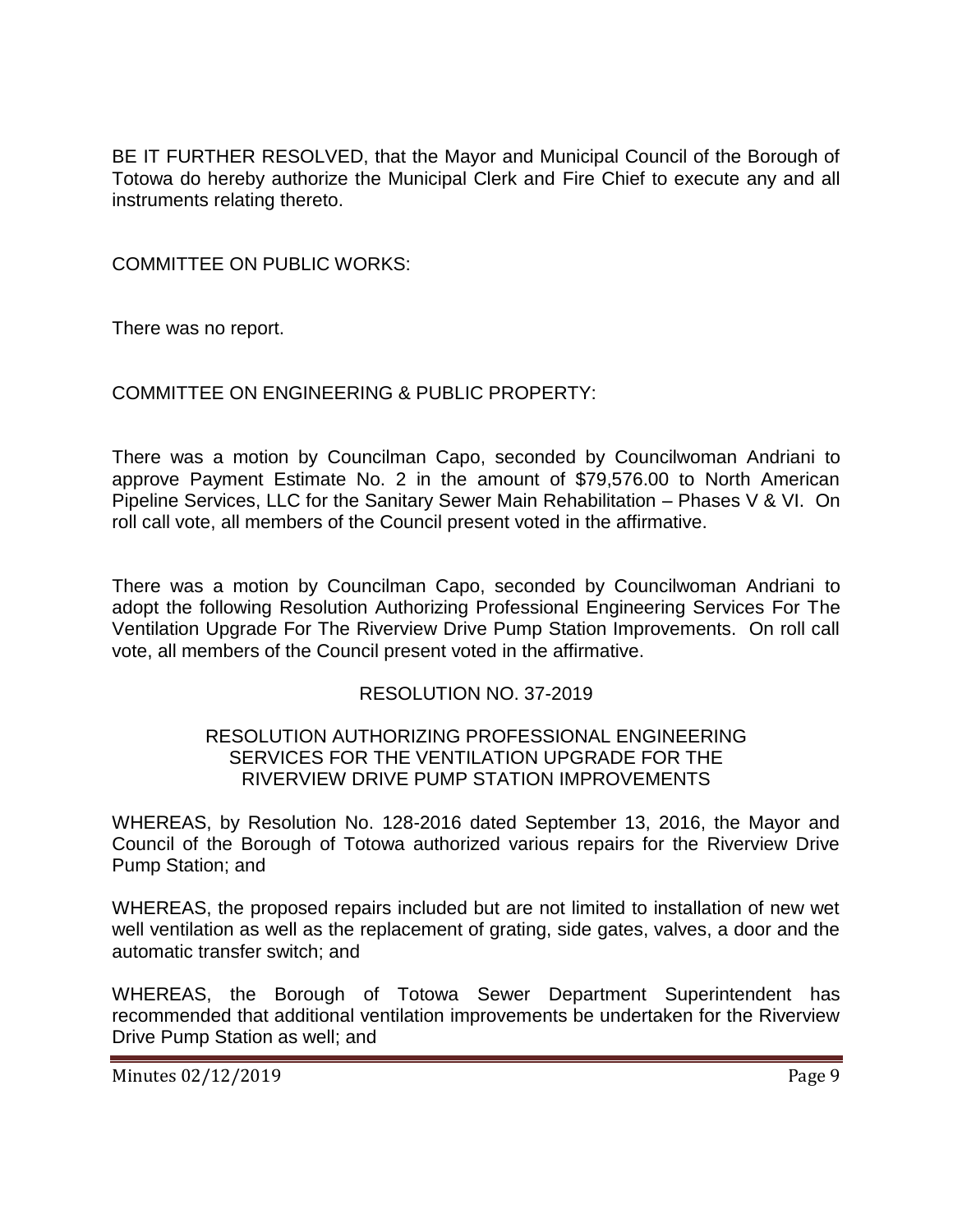BE IT FURTHER RESOLVED, that the Mayor and Municipal Council of the Borough of Totowa do hereby authorize the Municipal Clerk and Fire Chief to execute any and all instruments relating thereto.

COMMITTEE ON PUBLIC WORKS:

There was no report.

## COMMITTEE ON ENGINEERING & PUBLIC PROPERTY:

There was a motion by Councilman Capo, seconded by Councilwoman Andriani to approve Payment Estimate No. 2 in the amount of \$79,576.00 to North American Pipeline Services, LLC for the Sanitary Sewer Main Rehabilitation – Phases V & VI. On roll call vote, all members of the Council present voted in the affirmative.

There was a motion by Councilman Capo, seconded by Councilwoman Andriani to adopt the following Resolution Authorizing Professional Engineering Services For The Ventilation Upgrade For The Riverview Drive Pump Station Improvements. On roll call vote, all members of the Council present voted in the affirmative.

#### RESOLUTION NO. 37-2019

#### RESOLUTION AUTHORIZING PROFESSIONAL ENGINEERING SERVICES FOR THE VENTILATION UPGRADE FOR THE RIVERVIEW DRIVE PUMP STATION IMPROVEMENTS

WHEREAS, by Resolution No. 128-2016 dated September 13, 2016, the Mayor and Council of the Borough of Totowa authorized various repairs for the Riverview Drive Pump Station; and

WHEREAS, the proposed repairs included but are not limited to installation of new wet well ventilation as well as the replacement of grating, side gates, valves, a door and the automatic transfer switch; and

WHEREAS, the Borough of Totowa Sewer Department Superintendent has recommended that additional ventilation improvements be undertaken for the Riverview Drive Pump Station as well; and

Minutes 02/12/2019 Page 9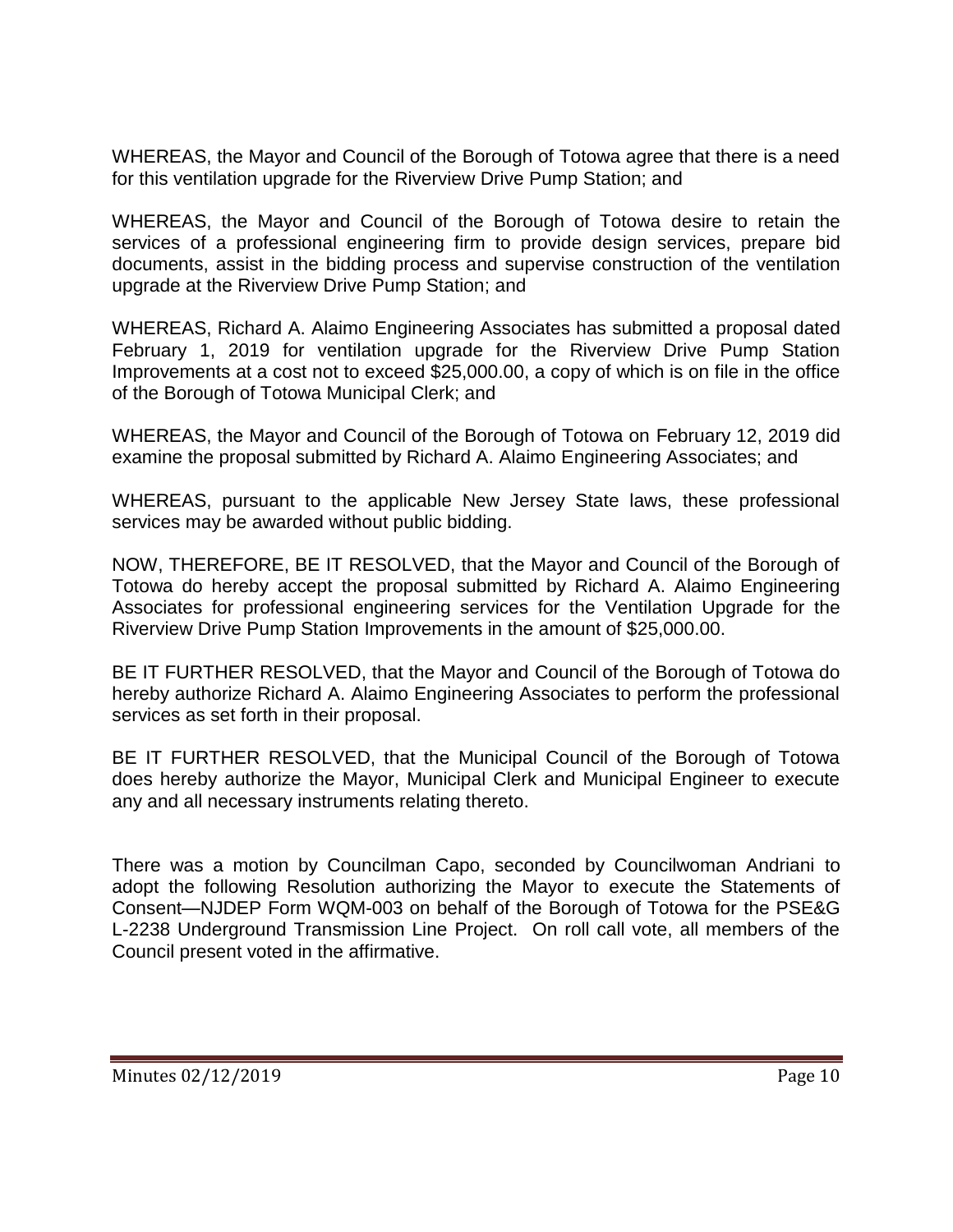WHEREAS, the Mayor and Council of the Borough of Totowa agree that there is a need for this ventilation upgrade for the Riverview Drive Pump Station; and

WHEREAS, the Mayor and Council of the Borough of Totowa desire to retain the services of a professional engineering firm to provide design services, prepare bid documents, assist in the bidding process and supervise construction of the ventilation upgrade at the Riverview Drive Pump Station; and

WHEREAS, Richard A. Alaimo Engineering Associates has submitted a proposal dated February 1, 2019 for ventilation upgrade for the Riverview Drive Pump Station Improvements at a cost not to exceed \$25,000.00, a copy of which is on file in the office of the Borough of Totowa Municipal Clerk; and

WHEREAS, the Mayor and Council of the Borough of Totowa on February 12, 2019 did examine the proposal submitted by Richard A. Alaimo Engineering Associates; and

WHEREAS, pursuant to the applicable New Jersey State laws, these professional services may be awarded without public bidding.

NOW, THEREFORE, BE IT RESOLVED, that the Mayor and Council of the Borough of Totowa do hereby accept the proposal submitted by Richard A. Alaimo Engineering Associates for professional engineering services for the Ventilation Upgrade for the Riverview Drive Pump Station Improvements in the amount of \$25,000.00.

BE IT FURTHER RESOLVED, that the Mayor and Council of the Borough of Totowa do hereby authorize Richard A. Alaimo Engineering Associates to perform the professional services as set forth in their proposal.

BE IT FURTHER RESOLVED, that the Municipal Council of the Borough of Totowa does hereby authorize the Mayor, Municipal Clerk and Municipal Engineer to execute any and all necessary instruments relating thereto.

There was a motion by Councilman Capo, seconded by Councilwoman Andriani to adopt the following Resolution authorizing the Mayor to execute the Statements of Consent—NJDEP Form WQM-003 on behalf of the Borough of Totowa for the PSE&G L-2238 Underground Transmission Line Project. On roll call vote, all members of the Council present voted in the affirmative.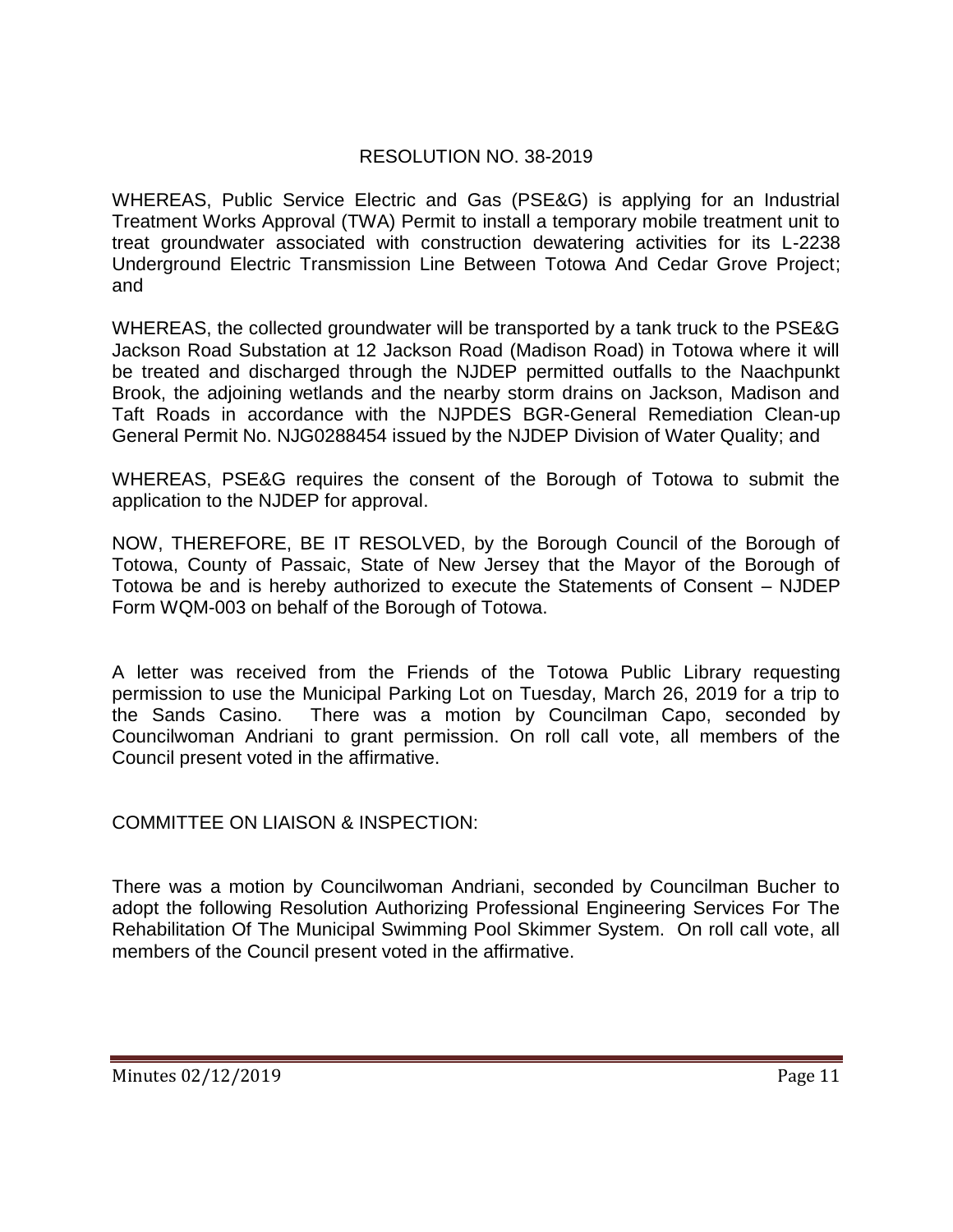# RESOLUTION NO. 38-2019

WHEREAS, Public Service Electric and Gas (PSE&G) is applying for an Industrial Treatment Works Approval (TWA) Permit to install a temporary mobile treatment unit to treat groundwater associated with construction dewatering activities for its L-2238 Underground Electric Transmission Line Between Totowa And Cedar Grove Project; and

WHEREAS, the collected groundwater will be transported by a tank truck to the PSE&G Jackson Road Substation at 12 Jackson Road (Madison Road) in Totowa where it will be treated and discharged through the NJDEP permitted outfalls to the Naachpunkt Brook, the adjoining wetlands and the nearby storm drains on Jackson, Madison and Taft Roads in accordance with the NJPDES BGR-General Remediation Clean-up General Permit No. NJG0288454 issued by the NJDEP Division of Water Quality; and

WHEREAS, PSE&G requires the consent of the Borough of Totowa to submit the application to the NJDEP for approval.

NOW, THEREFORE, BE IT RESOLVED, by the Borough Council of the Borough of Totowa, County of Passaic, State of New Jersey that the Mayor of the Borough of Totowa be and is hereby authorized to execute the Statements of Consent – NJDEP Form WQM-003 on behalf of the Borough of Totowa.

A letter was received from the Friends of the Totowa Public Library requesting permission to use the Municipal Parking Lot on Tuesday, March 26, 2019 for a trip to the Sands Casino. There was a motion by Councilman Capo, seconded by Councilwoman Andriani to grant permission. On roll call vote, all members of the Council present voted in the affirmative.

COMMITTEE ON LIAISON & INSPECTION:

There was a motion by Councilwoman Andriani, seconded by Councilman Bucher to adopt the following Resolution Authorizing Professional Engineering Services For The Rehabilitation Of The Municipal Swimming Pool Skimmer System. On roll call vote, all members of the Council present voted in the affirmative.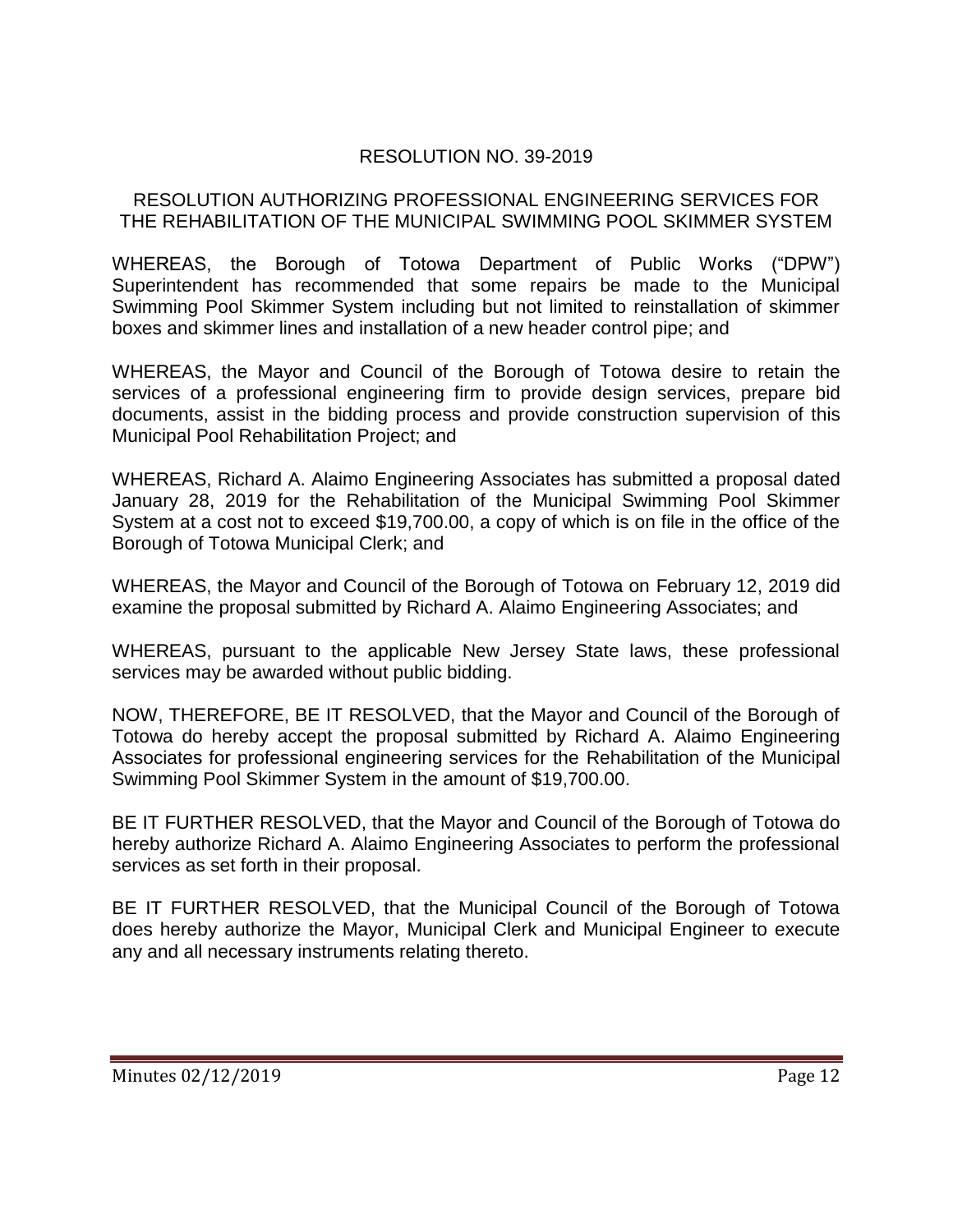# RESOLUTION NO. 39-2019

#### RESOLUTION AUTHORIZING PROFESSIONAL ENGINEERING SERVICES FOR THE REHABILITATION OF THE MUNICIPAL SWIMMING POOL SKIMMER SYSTEM

WHEREAS, the Borough of Totowa Department of Public Works ("DPW") Superintendent has recommended that some repairs be made to the Municipal Swimming Pool Skimmer System including but not limited to reinstallation of skimmer boxes and skimmer lines and installation of a new header control pipe; and

WHEREAS, the Mayor and Council of the Borough of Totowa desire to retain the services of a professional engineering firm to provide design services, prepare bid documents, assist in the bidding process and provide construction supervision of this Municipal Pool Rehabilitation Project; and

WHEREAS, Richard A. Alaimo Engineering Associates has submitted a proposal dated January 28, 2019 for the Rehabilitation of the Municipal Swimming Pool Skimmer System at a cost not to exceed \$19,700.00, a copy of which is on file in the office of the Borough of Totowa Municipal Clerk; and

WHEREAS, the Mayor and Council of the Borough of Totowa on February 12, 2019 did examine the proposal submitted by Richard A. Alaimo Engineering Associates; and

WHEREAS, pursuant to the applicable New Jersey State laws, these professional services may be awarded without public bidding.

NOW, THEREFORE, BE IT RESOLVED, that the Mayor and Council of the Borough of Totowa do hereby accept the proposal submitted by Richard A. Alaimo Engineering Associates for professional engineering services for the Rehabilitation of the Municipal Swimming Pool Skimmer System in the amount of \$19,700.00.

BE IT FURTHER RESOLVED, that the Mayor and Council of the Borough of Totowa do hereby authorize Richard A. Alaimo Engineering Associates to perform the professional services as set forth in their proposal.

BE IT FURTHER RESOLVED, that the Municipal Council of the Borough of Totowa does hereby authorize the Mayor, Municipal Clerk and Municipal Engineer to execute any and all necessary instruments relating thereto.